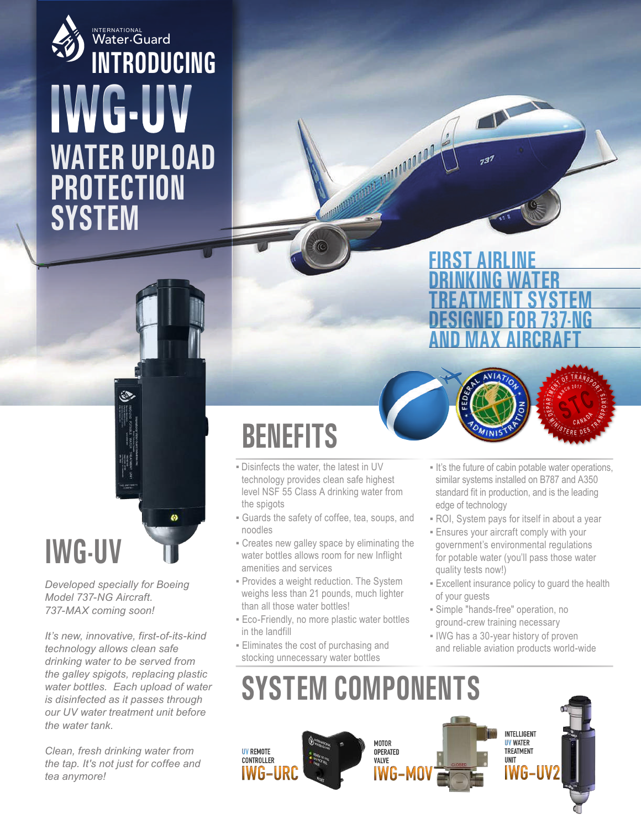#### **INTRODUCING WATER UPLOAD PROTECTION SYSTEM IWG-UV** INTERNATIONAL<br>Water•Guard

### **IWG-UV**

*Developed specially for Boeing Model 737-NG Aircraft. 737-MAX coming soon!*

*It's new, innovative, first-of-its-kind technology allows clean safe drinking water to be served from the galley spigots, replacing plastic water bottles. Each upload of water is disinfected as it passes through our UV water treatment unit before the water tank.*

*Clean, fresh drinking water from the tap. It's not just for coffee and tea anymore!*

# **BENEFITS**

- Disinfects the water, the latest in UV technology provides clean safe highest level NSF 55 Class A drinking water from the spigots
- Guards the safety of coffee, tea, soups, and noodles
- Creates new galley space by eliminating the water bottles allows room for new Inflight amenities and services
- **· Provides a weight reduction. The System** weighs less than 21 pounds, much lighter than all those water bottles!
- **Eco-Friendly, no more plastic water bottles** in the landfill
- Eliminates the cost of purchasing and stocking unnecessary water bottles





- It's the future of cabin potable water operations, similar systems installed on B787 and A350 standard fit in production, and is the leading edge of technology
- ROI, System pays for itself in about a year
- **Ensures your aircraft comply with your** government's environmental regulations for potable water (you'll pass those water quality tests now!)
- **Excellent insurance policy to guard the health** of your guests
- Simple "hands-free" operation, no ground-crew training necessary
- **.** IWG has a 30-year history of proven and reliable aviation products world-wide

### **SYSTEM COMPONENTS**

No. of Concession, Name of Street, or other